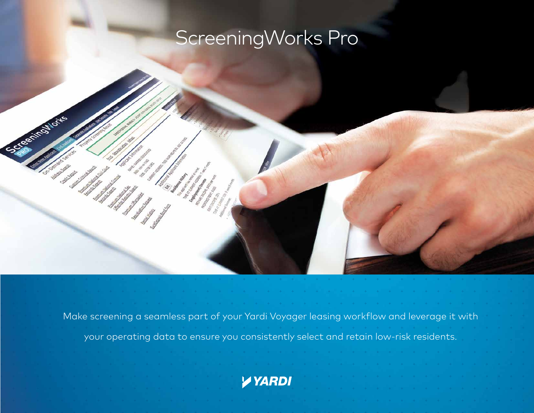# ScreeningWorks Pro

**CSLE RIVETIONS** 

Calgary Call en de la posta de la provincia de la provincia de la provincia de la provincia de la provincia de la provincia<br>La provincia de la provincia de la provincia de la provincia de la provincia de la provincia de la provincia d

Make screening a seamless part of your Yardi Voyager leasing workflow and leverage it with your operating data to ensure you consistently select and retain low-risk residents.

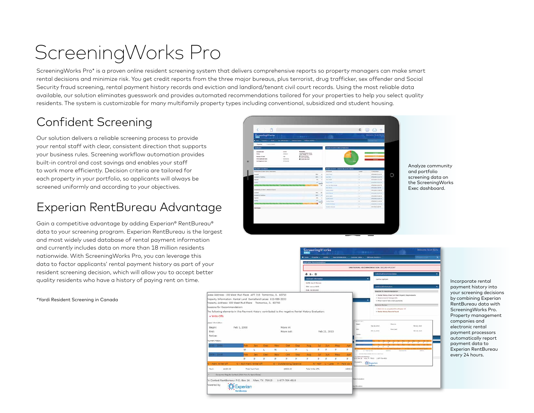# ScreeningWorks Pro

ScreeningWorks Pro\* is a proven online resident screening system that delivers comprehensive reports so property managers can make smart rental decisions and minimize risk. You get credit reports from the three major bureaus, plus terrorist, drug trafficker, sex offender and Social Security fraud screening, rental payment history records and eviction and landlord/tenant civil court records. Using the most reliable data available, our solution eliminates guesswork and provides automated recommendations tailored for your properties to help you select quality residents. The system is customizable for many multifamily property types including conventional, subsidized and student housing.

## Confident Screening

Our solution delivers a reliable screening process to provide your rental staff with clear, consistent direction that supports your business rules. Screening workflow automation provides built-in control and cost savings and enables your staff to work more efficiently. Decision criteria are tailored for each property in your portfolio, so applicants will always be screened uniformly and according to your objectives.

### Experian RentBureau Advantage

Gain a competitive advantage by adding Experian® RentBureau® data to your screening program. Experian RentBureau is the largest and most widely used database of rental payment information and currently includes data on more than 18 million residents nationwide. With ScreeningWorks Pro, you can leverage this data to factor applicants' rental payment history as part of your resident screening decision, which will allow you to accept better

\*Yardi Resident Screening in Canada



Analyze community and portfolio screening data on the ScreeningWorks Exec dashboard.



ScreeningWork

payment history into your screening decisions by combining Experian RentBureau data with ScreeningWorks Pro. Property management companies and electronic rental payment processors automatically report payment data to Experian RentBureau every 24 hours.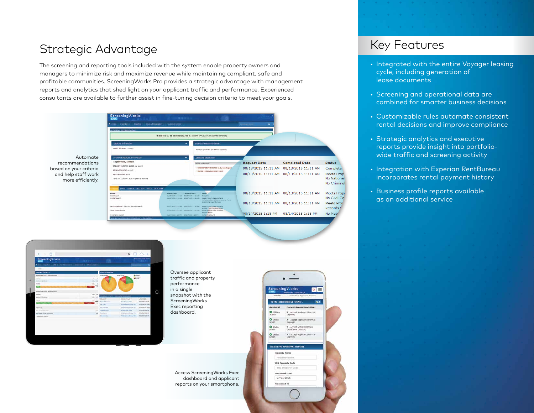#### Strategic Advantage

The screening and reporting tools included with the system enable property owners and managers to minimize risk and maximize revenue while maintaining compliant, safe and profitable communities. ScreeningWorks Pro provides a strategic advantage with management reports and analytics that shed light on your applicant traffic and performance. Experienced consultants are available to further assist in fine-tuning decision criteria to meet your goals.



Automate recommendations based on your criteria and help staff work more efficiently.



Oversee applicant traffic and property performance in a single snapshot with the ScreeningWorks Exec reporting dashboard.

Access ScreeningWorks Exec dashboard and applicant reports on your smartphone.



#### Key Features

- Integrated with the entire Voyager leasing cycle, including generation of lease documents
- Screening and operational data are combined for smarter business decisions
- Customizable rules automate consistent rental decisions and improve compliance
- Strategic analytics and executive reports provide insight into portfoliowide traffic and screening activity
- Integration with Experian RentBureau incorporates rental payment history
- Business profile reports available as an additional service